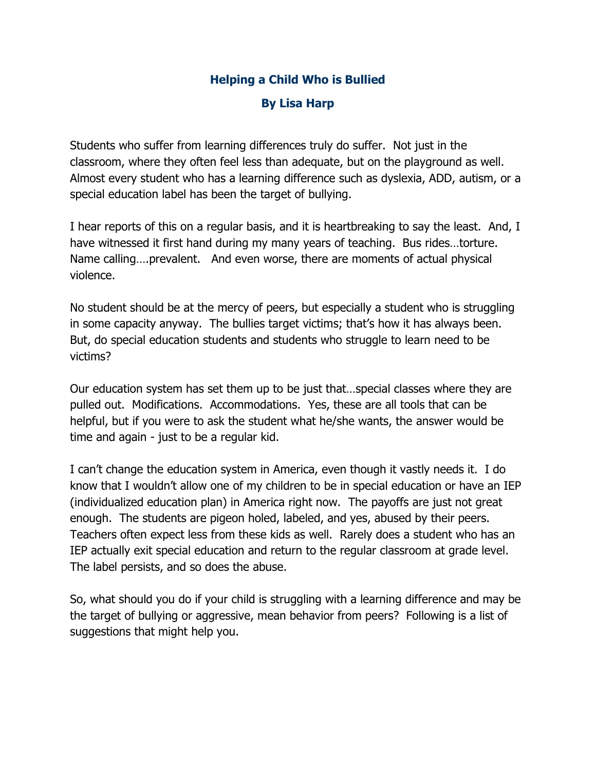## **Helping a Child Who is Bullied**

## **By Lisa Harp**

Students who suffer from learning differences truly do suffer. Not just in the classroom, where they often feel less than adequate, but on the playground as well. Almost every student who has a learning difference such as dyslexia, ADD, autism, or a special education label has been the target of bullying.

I hear reports of this on a regular basis, and it is heartbreaking to say the least. And, I have witnessed it first hand during my many years of teaching. Bus rides…torture. Name calling….prevalent. And even worse, there are moments of actual physical violence.

No student should be at the mercy of peers, but especially a student who is struggling in some capacity anyway. The bullies target victims; that's how it has always been. But, do special education students and students who struggle to learn need to be victims?

Our education system has set them up to be just that…special classes where they are pulled out. Modifications. Accommodations. Yes, these are all tools that can be helpful, but if you were to ask the student what he/she wants, the answer would be time and again - just to be a regular kid.

I can't change the education system in America, even though it vastly needs it. I do know that I wouldn't allow one of my children to be in special education or have an IEP (individualized education plan) in America right now. The payoffs are just not great enough. The students are pigeon holed, labeled, and yes, abused by their peers. Teachers often expect less from these kids as well. Rarely does a student who has an IEP actually exit special education and return to the regular classroom at grade level. The label persists, and so does the abuse.

So, what should you do if your child is struggling with a learning difference and may be the target of bullying or aggressive, mean behavior from peers? Following is a list of suggestions that might help you.